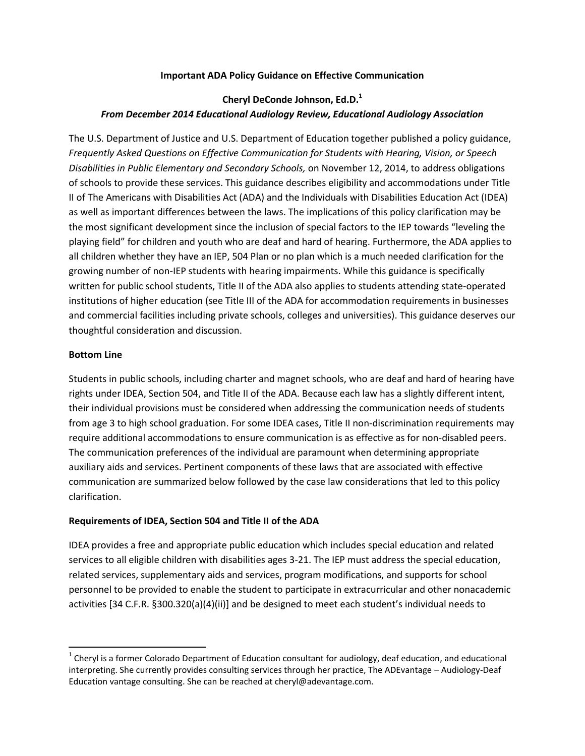### **Important ADA Policy Guidance on Effective Communication**

# **Cheryl DeConde Johnson, Ed.D.<sup>1</sup>** *From December 2014 Educational Audiology Review, Educational Audiology Association*

The U.S. Department of Justice and U.S. Department of Education together published a policy guidance, *Frequently Asked Questions on Effective Communication for Students with Hearing, Vision, or Speech Disabilities in Public Elementary and Secondary Schools,* on November 12, 2014, to address obligations of schools to provide these services. This guidance describes eligibility and accommodations under Title II of The Americans with Disabilities Act (ADA) and the Individuals with Disabilities Education Act (IDEA) as well as important differences between the laws. The implications of this policy clarification may be the most significant development since the inclusion of special factors to the IEP towards "leveling the playing field" for children and youth who are deaf and hard of hearing. Furthermore, the ADA applies to all children whether they have an IEP, 504 Plan or no plan which is a much needed clarification for the growing number of non-IEP students with hearing impairments. While this guidance is specifically written for public school students, Title II of the ADA also applies to students attending state-operated institutions of higher education (see Title III of the ADA for accommodation requirements in businesses and commercial facilities including private schools, colleges and universities). This guidance deserves our thoughtful consideration and discussion.

#### **Bottom Line**

 $\overline{\phantom{a}}$ 

Students in public schools, including charter and magnet schools, who are deaf and hard of hearing have rights under IDEA, Section 504, and Title II of the ADA. Because each law has a slightly different intent, their individual provisions must be considered when addressing the communication needs of students from age 3 to high school graduation. For some IDEA cases, Title II non-discrimination requirements may require additional accommodations to ensure communication is as effective as for non-disabled peers. The communication preferences of the individual are paramount when determining appropriate auxiliary aids and services. Pertinent components of these laws that are associated with effective communication are summarized below followed by the case law considerations that led to this policy clarification.

#### **Requirements of IDEA, Section 504 and Title II of the ADA**

IDEA provides a free and appropriate public education which includes special education and related services to all eligible children with disabilities ages 3-21. The IEP must address the special education, related services, supplementary aids and services, program modifications, and supports for school personnel to be provided to enable the student to participate in extracurricular and other nonacademic activities [34 C.F.R. §300.320(a)(4)(ii)] and be designed to meet each student's individual needs to

 $^1$  Cheryl is a former Colorado Department of Education consultant for audiology, deaf education, and educational interpreting. She currently provides consulting services through her practice, The ADEvantage – Audiology-Deaf Education vantage consulting. She can be reached at cheryl@adevantage.com.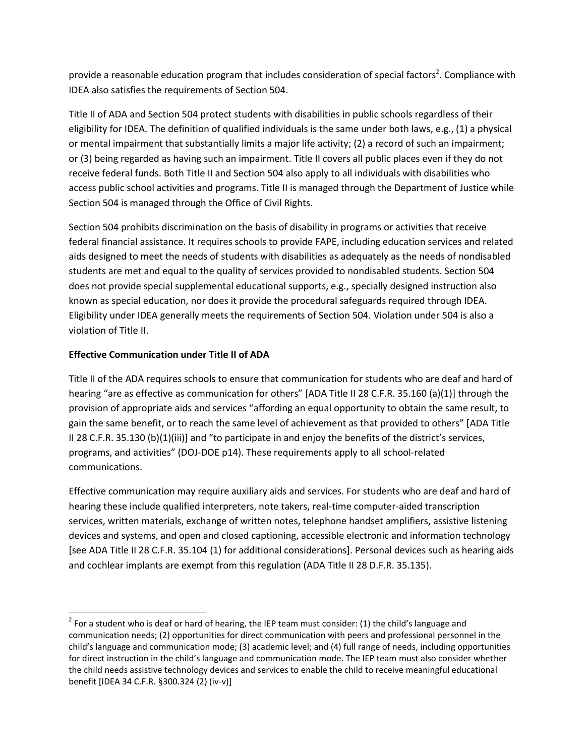provide a reasonable education program that includes consideration of special factors<sup>2</sup>. Compliance with IDEA also satisfies the requirements of Section 504.

Title II of ADA and Section 504 protect students with disabilities in public schools regardless of their eligibility for IDEA. The definition of qualified individuals is the same under both laws, e.g., (1) a physical or mental impairment that substantially limits a major life activity; (2) a record of such an impairment; or (3) being regarded as having such an impairment. Title II covers all public places even if they do not receive federal funds. Both Title II and Section 504 also apply to all individuals with disabilities who access public school activities and programs. Title II is managed through the Department of Justice while Section 504 is managed through the Office of Civil Rights.

Section 504 prohibits discrimination on the basis of disability in programs or activities that receive federal financial assistance. It requires schools to provide FAPE, including education services and related aids designed to meet the needs of students with disabilities as adequately as the needs of nondisabled students are met and equal to the quality of services provided to nondisabled students. Section 504 does not provide special supplemental educational supports, e.g., specially designed instruction also known as special education, nor does it provide the procedural safeguards required through IDEA. Eligibility under IDEA generally meets the requirements of Section 504. Violation under 504 is also a violation of Title II.

# **Effective Communication under Title II of ADA**

 $\overline{a}$ 

Title II of the ADA requires schools to ensure that communication for students who are deaf and hard of hearing "are as effective as communication for others" [ADA Title II 28 C.F.R. 35.160 (a)(1)] through the provision of appropriate aids and services "affording an equal opportunity to obtain the same result, to gain the same benefit, or to reach the same level of achievement as that provided to others" [ADA Title II 28 C.F.R. 35.130 (b)(1)(iii)] and "to participate in and enjoy the benefits of the district's services, programs, and activities" (DOJ-DOE p14). These requirements apply to all school-related communications.

Effective communication may require auxiliary aids and services. For students who are deaf and hard of hearing these include qualified interpreters, note takers, real-time computer-aided transcription services, written materials, exchange of written notes, telephone handset amplifiers, assistive listening devices and systems, and open and closed captioning, accessible electronic and information technology [see ADA Title II 28 C.F.R. 35.104 (1) for additional considerations]. Personal devices such as hearing aids and cochlear implants are exempt from this regulation (ADA Title II 28 D.F.R. 35.135).

 $^2$  For a student who is deaf or hard of hearing, the IEP team must consider: (1) the child's language and communication needs; (2) opportunities for direct communication with peers and professional personnel in the child's language and communication mode; (3) academic level; and (4) full range of needs, including opportunities for direct instruction in the child's language and communication mode. The IEP team must also consider whether the child needs assistive technology devices and services to enable the child to receive meaningful educational benefit [IDEA 34 C.F.R. §300.324 (2) (iv-v)]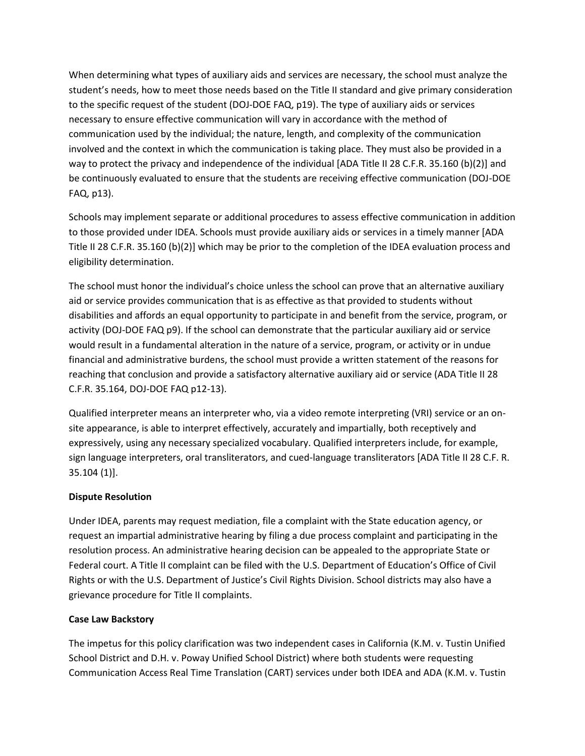When determining what types of auxiliary aids and services are necessary, the school must analyze the student's needs, how to meet those needs based on the Title II standard and give primary consideration to the specific request of the student (DOJ-DOE FAQ, p19). The type of auxiliary aids or services necessary to ensure effective communication will vary in accordance with the method of communication used by the individual; the nature, length, and complexity of the communication involved and the context in which the communication is taking place. They must also be provided in a way to protect the privacy and independence of the individual [ADA Title II 28 C.F.R. 35.160 (b)(2)] and be continuously evaluated to ensure that the students are receiving effective communication (DOJ-DOE FAQ, p13).

Schools may implement separate or additional procedures to assess effective communication in addition to those provided under IDEA. Schools must provide auxiliary aids or services in a timely manner [ADA Title II 28 C.F.R. 35.160 (b)(2)] which may be prior to the completion of the IDEA evaluation process and eligibility determination.

The school must honor the individual's choice unless the school can prove that an alternative auxiliary aid or service provides communication that is as effective as that provided to students without disabilities and affords an equal opportunity to participate in and benefit from the service, program, or activity (DOJ-DOE FAQ p9). If the school can demonstrate that the particular auxiliary aid or service would result in a fundamental alteration in the nature of a service, program, or activity or in undue financial and administrative burdens, the school must provide a written statement of the reasons for reaching that conclusion and provide a satisfactory alternative auxiliary aid or service (ADA Title II 28 C.F.R. 35.164, DOJ-DOE FAQ p12-13).

Qualified interpreter means an interpreter who, via a video remote interpreting (VRI) service or an onsite appearance, is able to interpret effectively, accurately and impartially, both receptively and expressively, using any necessary specialized vocabulary. Qualified interpreters include, for example, sign language interpreters, oral transliterators, and cued-language transliterators [ADA Title II 28 C.F. R. 35.104 (1)].

# **Dispute Resolution**

Under IDEA, parents may request mediation, file a complaint with the State education agency, or request an impartial administrative hearing by filing a due process complaint and participating in the resolution process. An administrative hearing decision can be appealed to the appropriate State or Federal court. A Title II complaint can be filed with the U.S. Department of Education's Office of Civil Rights or with the U.S. Department of Justice's Civil Rights Division. School districts may also have a grievance procedure for Title II complaints.

### **Case Law Backstory**

The impetus for this policy clarification was two independent cases in California (K.M. v. Tustin Unified School District and D.H. v. Poway Unified School District) where both students were requesting Communication Access Real Time Translation (CART) services under both IDEA and ADA (K.M. v. Tustin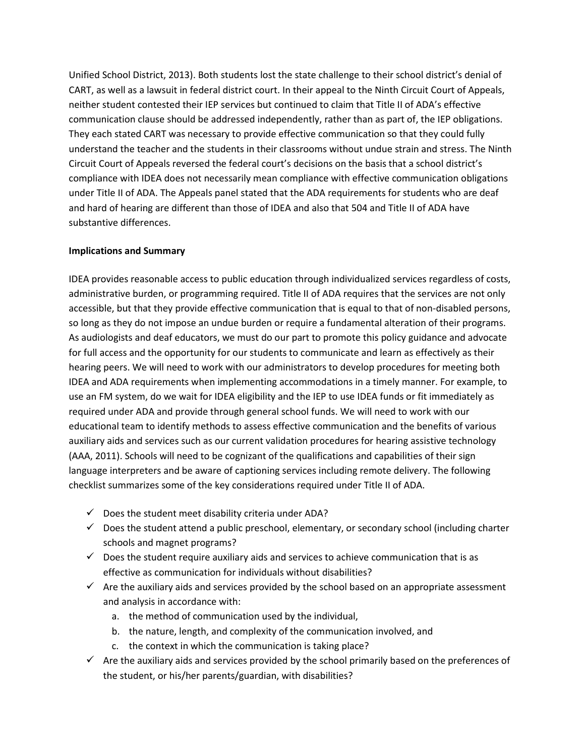Unified School District, 2013). Both students lost the state challenge to their school district's denial of CART, as well as a lawsuit in federal district court. In their appeal to the Ninth Circuit Court of Appeals, neither student contested their IEP services but continued to claim that Title II of ADA's effective communication clause should be addressed independently, rather than as part of, the IEP obligations. They each stated CART was necessary to provide effective communication so that they could fully understand the teacher and the students in their classrooms without undue strain and stress. The Ninth Circuit Court of Appeals reversed the federal court's decisions on the basis that a school district's compliance with IDEA does not necessarily mean compliance with effective communication obligations under Title II of ADA. The Appeals panel stated that the ADA requirements for students who are deaf and hard of hearing are different than those of IDEA and also that 504 and Title II of ADA have substantive differences.

#### **Implications and Summary**

IDEA provides reasonable access to public education through individualized services regardless of costs, administrative burden, or programming required. Title II of ADA requires that the services are not only accessible, but that they provide effective communication that is equal to that of non-disabled persons, so long as they do not impose an undue burden or require a fundamental alteration of their programs. As audiologists and deaf educators, we must do our part to promote this policy guidance and advocate for full access and the opportunity for our students to communicate and learn as effectively as their hearing peers. We will need to work with our administrators to develop procedures for meeting both IDEA and ADA requirements when implementing accommodations in a timely manner. For example, to use an FM system, do we wait for IDEA eligibility and the IEP to use IDEA funds or fit immediately as required under ADA and provide through general school funds. We will need to work with our educational team to identify methods to assess effective communication and the benefits of various auxiliary aids and services such as our current validation procedures for hearing assistive technology (AAA, 2011). Schools will need to be cognizant of the qualifications and capabilities of their sign language interpreters and be aware of captioning services including remote delivery. The following checklist summarizes some of the key considerations required under Title II of ADA.

- $\checkmark$  Does the student meet disability criteria under ADA?
- $\checkmark$  Does the student attend a public preschool, elementary, or secondary school (including charter schools and magnet programs?
- $\checkmark$  Does the student require auxiliary aids and services to achieve communication that is as effective as communication for individuals without disabilities?
- $\checkmark$  Are the auxiliary aids and services provided by the school based on an appropriate assessment and analysis in accordance with:
	- a. the method of communication used by the individual,
	- b. the nature, length, and complexity of the communication involved, and
	- c. the context in which the communication is taking place?
- $\checkmark$  Are the auxiliary aids and services provided by the school primarily based on the preferences of the student, or his/her parents/guardian, with disabilities?